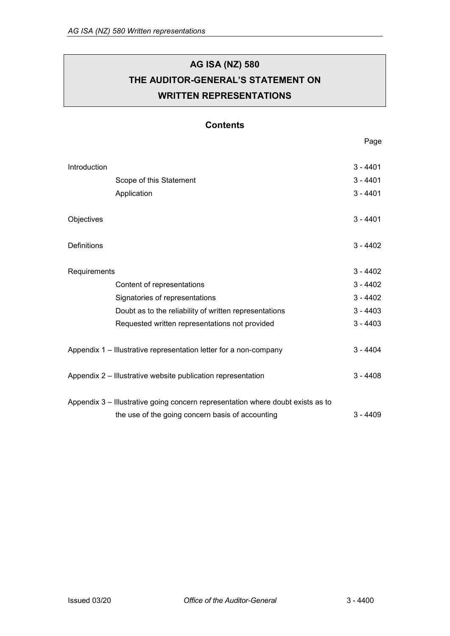# **AG ISA (NZ) 580 THE AUDITOR-GENERAL'S STATEMENT ON WRITTEN REPRESENTATIONS**

## **Contents**

Page

| Introduction                                                      |                                                                                 | $3 - 4401$ |
|-------------------------------------------------------------------|---------------------------------------------------------------------------------|------------|
|                                                                   | Scope of this Statement                                                         | $3 - 4401$ |
|                                                                   | Application                                                                     | $3 - 4401$ |
| Objectives                                                        |                                                                                 | $3 - 4401$ |
| <b>Definitions</b>                                                |                                                                                 | $3 - 4402$ |
| Requirements                                                      |                                                                                 | $3 - 4402$ |
|                                                                   | Content of representations                                                      | $3 - 4402$ |
|                                                                   | Signatories of representations                                                  | $3 - 4402$ |
|                                                                   | Doubt as to the reliability of written representations                          | $3 - 4403$ |
|                                                                   | Requested written representations not provided                                  | $3 - 4403$ |
| Appendix 1 – Illustrative representation letter for a non-company |                                                                                 | $3 - 4404$ |
|                                                                   | Appendix 2 – Illustrative website publication representation                    | $3 - 4408$ |
|                                                                   | Appendix 3 – Illustrative going concern representation where doubt exists as to |            |
|                                                                   | the use of the going concern basis of accounting                                | $3 - 4409$ |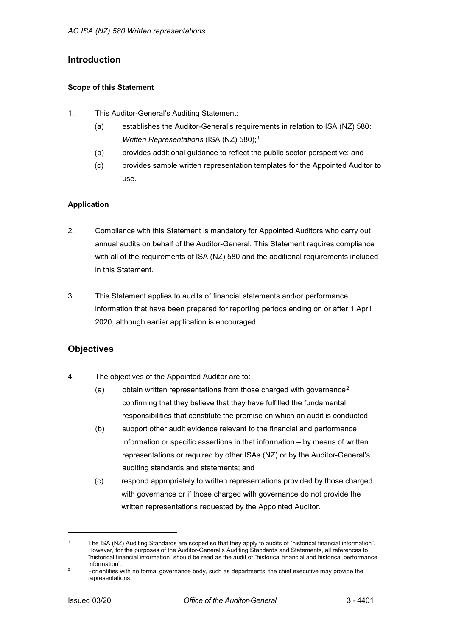## <span id="page-1-0"></span>**Introduction**

### <span id="page-1-1"></span>**Scope of this Statement**

- 1. This Auditor-General's Auditing Statement:
	- (a) establishes the Auditor-General's requirements in relation to ISA (NZ) 580: *Written Representations* (ISA (NZ) 580);<sup>[1](#page-1-5)</sup>
	- (b) provides additional guidance to reflect the public sector perspective; and
	- (c) provides sample written representation templates for the Appointed Auditor to use.

### <span id="page-1-2"></span>**Application**

- 2. Compliance with this Statement is mandatory for Appointed Auditors who carry out annual audits on behalf of the Auditor-General. This Statement requires compliance with all of the requirements of ISA (NZ) 580 and the additional requirements included in this Statement.
- 3. This Statement applies to audits of financial statements and/or performance information that have been prepared for reporting periods ending on or after 1 April 2020, although earlier application is encouraged.

## <span id="page-1-3"></span>**Objectives**

- 4. The objectives of the Appointed Auditor are to:
	- (a) obtain written representations from those charged with governance<sup>[2](#page-1-6)</sup> confirming that they believe that they have fulfilled the fundamental responsibilities that constitute the premise on which an audit is conducted;
	- (b) support other audit evidence relevant to the financial and performance information or specific assertions in that information – by means of written representations or required by other ISAs (NZ) or by the Auditor-General's auditing standards and statements; and
	- (c) respond appropriately to written representations provided by those charged with governance or if those charged with governance do not provide the written representations requested by the Appointed Auditor.

<span id="page-1-4"></span>j

<span id="page-1-5"></span>The ISA (NZ) Auditing Standards are scoped so that they apply to audits of "historical financial information". However, for the purposes of the Auditor-General's Auditing Standards and Statements, all references to "historical financial information" should be read as the audit of "historical financial and historical performance information".

<span id="page-1-6"></span> $2^2$  For entities with no formal governance body, such as departments, the chief executive may provide the representations.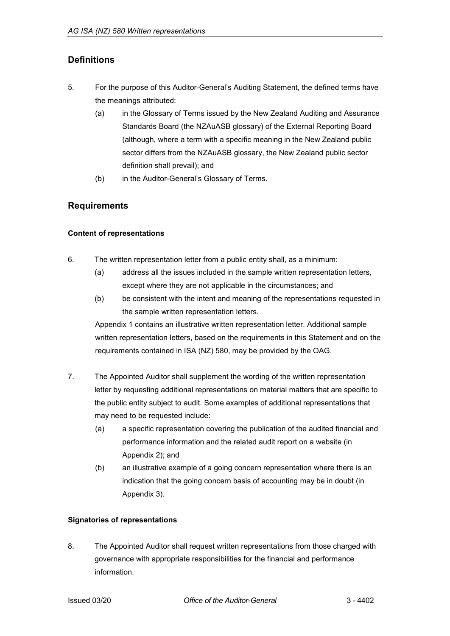## **Definitions**

- 5. For the purpose of this Auditor-General's Auditing Statement, the defined terms have the meanings attributed:
	- (a) in the Glossary of Terms issued by the New Zealand Auditing and Assurance Standards Board (the NZAuASB glossary) of the External Reporting Board (although, where a term with a specific meaning in the New Zealand public sector differs from the NZAuASB glossary, the New Zealand public sector definition shall prevail); and
	- (b) in the Auditor-General's Glossary of Terms.

## <span id="page-2-0"></span>**Requirements**

## <span id="page-2-1"></span>**Content of representations**

- 6. The written representation letter from a public entity shall, as a minimum:
	- (a) address all the issues included in the sample written representation letters, except where they are not applicable in the circumstances; and
	- (b) be consistent with the intent and meaning of the representations requested in the sample written representation letters.

Appendix 1 contains an illustrative written representation letter. Additional sample written representation letters, based on the requirements in this Statement and on the requirements contained in ISA (NZ) 580, may be provided by the OAG.

- 7. The Appointed Auditor shall supplement the wording of the written representation letter by requesting additional representations on material matters that are specific to the public entity subject to audit. Some examples of additional representations that may need to be requested include:
	- (a) a specific representation covering the publication of the audited financial and performance information and the related audit report on a website (in Appendix 2); and
	- (b) an illustrative example of a going concern representation where there is an indication that the going concern basis of accounting may be in doubt (in Appendix 3).

## <span id="page-2-2"></span>**Signatories of representations**

8. The Appointed Auditor shall request written representations from those charged with governance with appropriate responsibilities for the financial and performance information.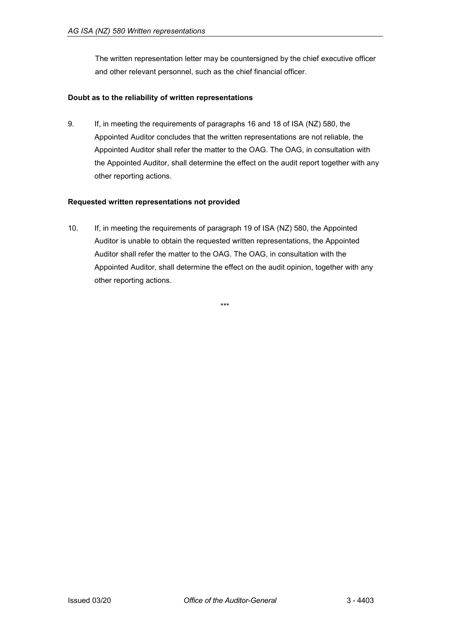The written representation letter may be countersigned by the chief executive officer and other relevant personnel, such as the chief financial officer.

### <span id="page-3-0"></span>**Doubt as to the reliability of written representations**

9. If, in meeting the requirements of paragraphs 16 and 18 of ISA (NZ) 580, the Appointed Auditor concludes that the written representations are not reliable, the Appointed Auditor shall refer the matter to the OAG. The OAG, in consultation with the Appointed Auditor, shall determine the effect on the audit report together with any other reporting actions.

### <span id="page-3-1"></span>**Requested written representations not provided**

10. If, in meeting the requirements of paragraph 19 of ISA (NZ) 580, the Appointed Auditor is unable to obtain the requested written representations, the Appointed Auditor shall refer the matter to the OAG. The OAG, in consultation with the Appointed Auditor, shall determine the effect on the audit opinion, together with any other reporting actions.

\*\*\*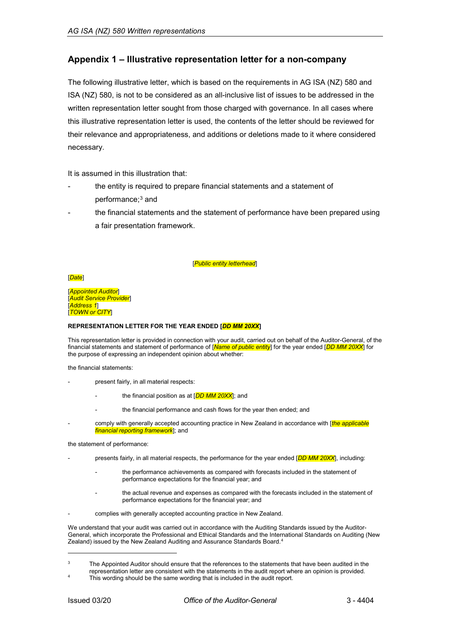## <span id="page-4-0"></span>**Appendix 1 – Illustrative representation letter for a non-company**

The following illustrative letter, which is based on the requirements in AG ISA (NZ) 580 and ISA (NZ) 580, is not to be considered as an all-inclusive list of issues to be addressed in the written representation letter sought from those charged with governance. In all cases where this illustrative representation letter is used, the contents of the letter should be reviewed for their relevance and appropriateness, and additions or deletions made to it where considered necessary.

It is assumed in this illustration that:

- the entity is required to prepare financial statements and a statement of performance;<sup>[3](#page-4-1)</sup> and
- the financial statements and the statement of performance have been prepared using a fair presentation framework.

#### [*Public entity letterhead*]

[*Date*]

[*Appointed Auditor*] [*Audit Service Provider*] [*Address 1*] [*TOWN or CITY*]

#### **REPRESENTATION LETTER FOR THE YEAR ENDED [***DD MM 20XX***]**

This representation letter is provided in connection with your audit, carried out on behalf of the Auditor-General, of the financial statements and statement of performance of [*Name of public entity*] for the year ended [*DD MM 20XX*] for the purpose of expressing an independent opinion about whether:

the financial statements:

- present fairly, in all material respects:
	- the financial position as at [*DD MM 20XX*]; and
		- the financial performance and cash flows for the year then ended; and
- comply with generally accepted accounting practice in New Zealand in accordance with [*the applicable financial reporting framework*]; and

the statement of performance:

- presents fairly, in all material respects, the performance for the year ended [*DD MM 20XX*], including:
	- the performance achievements as compared with forecasts included in the statement of performance expectations for the financial year; and
	- the actual revenue and expenses as compared with the forecasts included in the statement of performance expectations for the financial year; and
- complies with generally accepted accounting practice in New Zealand.

We understand that your audit was carried out in accordance with the Auditing Standards issued by the Auditor-General, which incorporate the Professional and Ethical Standards and the International Standards on Auditing (New Zealand) issued by the New Zealand Auditing and Assurance Standards Board. [4](#page-4-2)

<span id="page-4-2"></span><span id="page-4-1"></span><sup>&</sup>lt;sup>3</sup> The Appointed Auditor should ensure that the references to the statements that have been audited in the representation letter are consistent with the statements in the audit report where an opinion is provided.

This wording should be the same wording that is included in the audit report.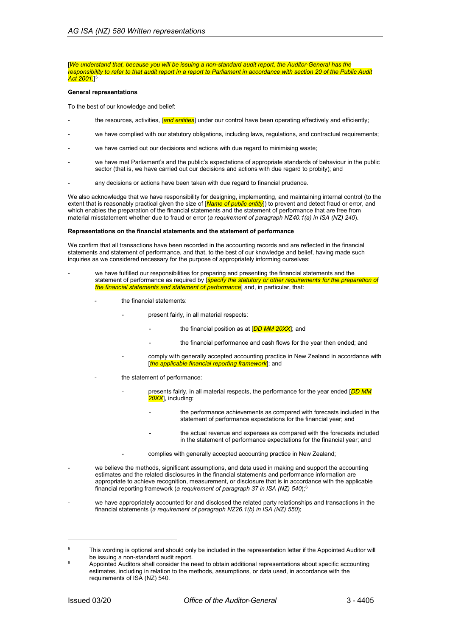#### [*We understand that, because you will be issuing a non-standard audit report, the Auditor-General has the responsibility to refer to that audit report in a report to Parliament in accordance with section 20 of the Public Audit Act 2001.*] [5](#page-5-0)

#### **General representations**

To the best of our knowledge and belief:

- the resources, activities, [*and entities*] under our control have been operating effectively and efficiently;
- we have complied with our statutory obligations, including laws, regulations, and contractual requirements;
- we have carried out our decisions and actions with due regard to minimising waste;
- we have met Parliament's and the public's expectations of appropriate standards of behaviour in the public sector (that is, we have carried out our decisions and actions with due regard to probity); and
- any decisions or actions have been taken with due regard to financial prudence.

We also acknowledge that we have responsibility for designing, implementing, and maintaining internal control (to the extent that is reasonably practical given the size of [*Name of public entity*]) to prevent and detect fraud or error, and which enables the preparation of the financial statements and the statement of performance that are free from material misstatement whether due to fraud or error (*a requirement of paragraph NZ40.1(a) in ISA (NZ) 240*).

#### **Representations on the financial statements and the statement of performance**

We confirm that all transactions have been recorded in the accounting records and are reflected in the financial statements and statement of performance, and that, to the best of our knowledge and belief, having made such inquiries as we considered necessary for the purpose of appropriately informing ourselves:

- we have fulfilled our responsibilities for preparing and presenting the financial statements and the statement of performance as required by **[***specify the statutory or other requirements for the preparation of the financial statements and statement of performance*] and, in particular, that:
	- the financial statements:
		- present fairly, in all material respects:
			- the financial position as at [*DD MM 20XX*]; and
			- the financial performance and cash flows for the year then ended; and
		- comply with generally accepted accounting practice in New Zealand in accordance with [*the applicable financial reporting framework*]; and
		- the statement of performance:
			- presents fairly, in all material respects, the performance for the year ended [DD MM *20XX*], including:
				- the performance achievements as compared with forecasts included in the statement of performance expectations for the financial year; and
				- the actual revenue and expenses as compared with the forecasts included in the statement of performance expectations for the financial year; and
				- complies with generally accepted accounting practice in New Zealand;
- we believe the methods, significant assumptions, and data used in making and support the accounting estimates and the related disclosures in the financial statements and performance information are appropriate to achieve recognition, measurement, or disclosure that is in accordance with the applicable financial reporting framework (*a requirement of paragraph 37 in ISA (NZ) 540*);[6](#page-5-1)
- we have appropriately accounted for and disclosed the related party relationships and transactions in the financial statements (*a requirement of paragraph NZ26.1(b) in ISA (NZ) 550*);

<span id="page-5-0"></span><sup>&</sup>lt;sup>5</sup> This wording is optional and should only be included in the representation letter if the Appointed Auditor will be issuing a non-standard audit report.

<span id="page-5-1"></span><sup>6</sup> Appointed Auditors shall consider the need to obtain additional representations about specific accounting estimates, including in relation to the methods, assumptions, or data used, in accordance with the requirements of ISA (NZ) 540.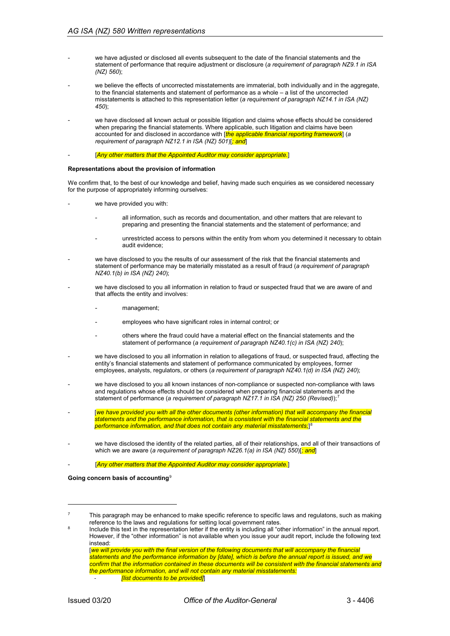- we have adjusted or disclosed all events subsequent to the date of the financial statements and the statement of performance that require adjustment or disclosure (*a requirement of paragraph NZ9.1 in ISA (NZ) 560*);
- we believe the effects of uncorrected misstatements are immaterial, both individually and in the aggregate, to the financial statements and statement of performance as a whole – a list of the uncorrected misstatements is attached to this representation letter (*a requirement of paragraph NZ14.1 in ISA (NZ) 450*);
- we have disclosed all known actual or possible litigation and claims whose effects should be considered when preparing the financial statements. Where applicable, such litigation and claims have been accounted for and disclosed in accordance with [*the applicable financial reporting framework*] (*a requirement of paragraph NZ12.1 in ISA (NZ) 501*)[*; and*]
- [*Any other matters that the Appointed Auditor may consider appropriate.*]

#### **Representations about the provision of information**

We confirm that, to the best of our knowledge and belief, having made such enquiries as we considered necessary for the purpose of appropriately informing ourselves:

- we have provided you with:
	- all information, such as records and documentation, and other matters that are relevant to preparing and presenting the financial statements and the statement of performance; and
	- unrestricted access to persons within the entity from whom you determined it necessary to obtain audit evidence;
- we have disclosed to you the results of our assessment of the risk that the financial statements and statement of performance may be materially misstated as a result of fraud (*a requirement of paragraph NZ40.1(b) in ISA (NZ) 240*);
- we have disclosed to you all information in relation to fraud or suspected fraud that we are aware of and that affects the entity and involves:
	- management:
	- employees who have significant roles in internal control; or
	- others where the fraud could have a material effect on the financial statements and the statement of performance (*a requirement of paragraph NZ40.1(c) in ISA (NZ) 240*);
- we have disclosed to you all information in relation to allegations of fraud, or suspected fraud, affecting the entity's financial statements and statement of performance communicated by employees, former employees, analysts, regulators, or others (*a requirement of paragraph NZ40.1(d) in ISA (NZ) 240*);
- we have disclosed to you all known instances of non-compliance or suspected non-compliance with laws and regulations whose effects should be considered when preparing financial statements and the statement of performance (*a requirement of paragraph NZ1[7](#page-6-0).1 in ISA (NZ) 250 (Revised)*);<sup>7</sup>
- [we have provided you with all the other documents (other information) that will accompany the financial *statements and the performance information, that is consistent with the financial statements and the performance information, and that does not contain any material misstatements;*] [8](#page-6-1)
- we have disclosed the identity of the related parties, all of their relationships, and all of their transactions of which we are aware (*a requirement of paragraph NZ26.1(a) in ISA (NZ) 550*)[*; and*]

[Any other matters that the Appointed Auditor may consider appropriate.]

#### **Going concern basis of accounting**[9](#page-6-2)

<span id="page-6-1"></span><span id="page-6-0"></span> $7 \text{ This paragraph may be enhanced to make specific reference to specific laws and regulations, such as making }$ reference to the laws and regulations for setting local government rates.

<span id="page-6-2"></span>Include this text in the representation letter if the entity is including all "other information" in the annual report. However, if the "other information" is not available when you issue your audit report, include the following text instead: [*we will provide you with the final version of the following documents that will accompany the financial* 

*statements and the performance information by [date], which is before the annual report is issued, and we confirm that the information contained in these documents will be consistent with the financial statements and the performance information, and will not contain any material misstatements:* - *[list documents to be provided]*]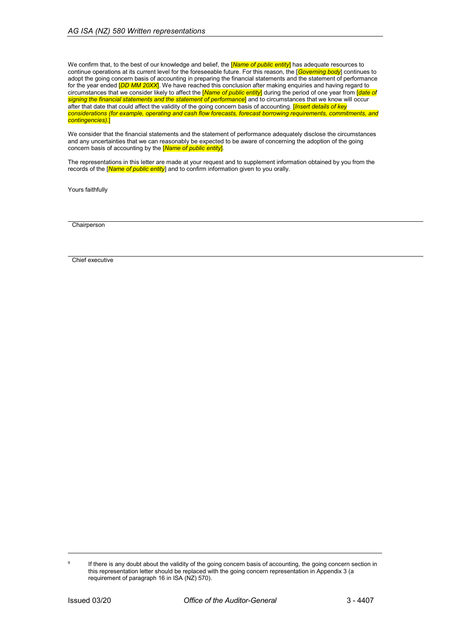We confirm that, to the best of our knowledge and belief, the [*Name of public entity*] has adequate resources to continue operations at its current level for the foreseeable future. For this reason, the [*Governing body*] continues to adopt the going concern basis of accounting in preparing the financial statements and the statement of performance for the year ended [*DD MM 20XX*]. We have reached this conclusion after making enquiries and having regard to circumstances that we consider likely to affect the [*Name of public entity*] during the period of one year from [*date of signing the financial statements and the statement of performance*] and to circumstances that we know will occur after that date that could affect the validity of the going concern basis of accounting. [*Insert details of key considerations (for example, operating and cash flow forecasts, forecast borrowing requirements, commitments, and contingencies)*.]

We consider that the financial statements and the statement of performance adequately disclose the circumstances and any uncertainties that we can reasonably be expected to be aware of concerning the adoption of the going concern basis of accounting by the [*Name of public entity*].

The representations in this letter are made at your request and to supplement information obtained by you from the records of the [*Name of public entity*] and to confirm information given to you orally.

Yours faithfully

**Chairperson** 

Chief executive

<sup>&</sup>lt;sup>9</sup> If there is any doubt about the validity of the going concern basis of accounting, the going concern section in this representation letter should be replaced with the going concern representation in Appendix 3 (a requirement of paragraph 16 in ISA (NZ) 570).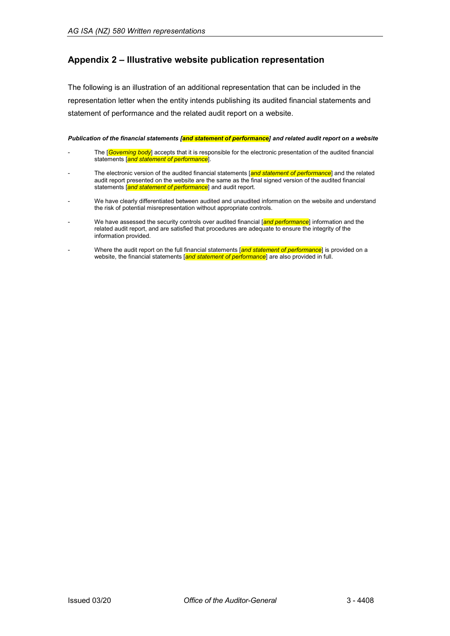## <span id="page-8-0"></span>**Appendix 2 – Illustrative website publication representation**

The following is an illustration of an additional representation that can be included in the representation letter when the entity intends publishing its audited financial statements and statement of performance and the related audit report on a website.

*Publication of the financial statements [and statement of performance] and related audit report on a website*

- The [*Governing body*] accepts that it is responsible for the electronic presentation of the audited financial statements [*and statement of performance*].
- The electronic version of the audited financial statements [and statement of performance] and the related audit report presented on the website are the same as the final signed version of the audited financial statements [*and statement of performance*] and audit report.
- We have clearly differentiated between audited and unaudited information on the website and understand the risk of potential misrepresentation without appropriate controls.
- We have assessed the security controls over audited financial [*and performance*] information and the related audit report, and are satisfied that procedures are adequate to ensure the integrity of the information provided.
- Where the audit report on the full financial statements [*and statement of performance*] is provided on a website, the financial statements [*and statement of performance*] are also provided in full.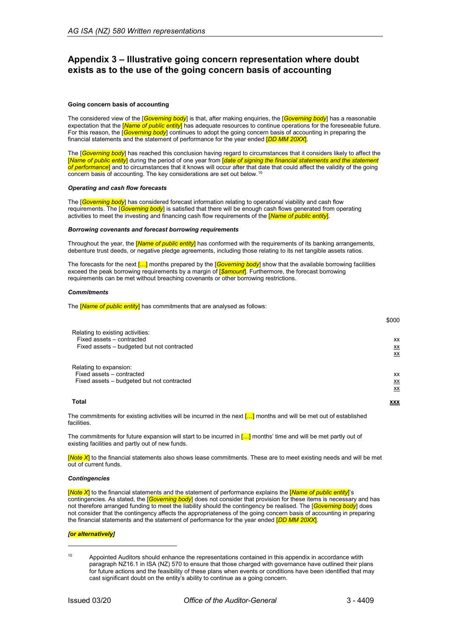## <span id="page-9-0"></span>**Appendix 3 – Illustrative going concern representation where doubt exists as to the use of the going concern basis of accounting**

#### **Going concern basis of accounting**

The considered view of the [*Governing body*] is that, after making enquiries, the [*Governing body*] has a reasonable expectation that the [*Name of public entity*] has adequate resources to continue operations for the foreseeable future. For this reason, the [*Governing body*] continues to adopt the going concern basis of accounting in preparing the financial statements and the statement of performance for the year ended [*DD MM 20XX*].

The [*Governing body*] has reached this conclusion having regard to circumstances that it considers likely to affect the [*Name of public entity*] during the period of one year from [*date of signing the financial statements and the statement of performance*] and to circumstances that it knows will occur after that date that could affect the validity of the going concern basis of accounting. The key considerations are set out below.<sup>[10](#page-9-1)</sup>

#### *Operating and cash flow forecasts*

The [*Governing body*] has considered forecast information relating to operational viability and cash flow requirements. The [*Governing body*] is satisfied that there will be enough cash flows generated from operating activities to meet the investing and financing cash flow requirements of the [*Name of public entity*].

#### *Borrowing covenants and forecast borrowing requirements*

Throughout the year, the [*Name of public entity*] has conformed with the requirements of its banking arrangements, debenture trust deeds, or negative pledge agreements, including those relating to its net tangible assets ratios.

The forecasts for the next […] months prepared by the [*Governing body*] show that the available borrowing facilities exceed the peak borrowing requirements by a margin of [*\$amount*]. Furthermore, the forecast borrowing requirements can be met without breaching covenants or other borrowing restrictions.

#### *Commitments*

The [*Name of public entity*] has commitments that are analysed as follows:

|                                                                                                                                  | \$000           |
|----------------------------------------------------------------------------------------------------------------------------------|-----------------|
| Relating to existing activities:<br>Fixed assets - contracted                                                                    | XX              |
| Fixed assets - budgeted but not contracted                                                                                       | <u>XX</u><br>XX |
| Relating to expansion:<br>Fixed assets - contracted                                                                              | XX              |
| Fixed assets – budgeted but not contracted                                                                                       | <u>XX</u><br>XX |
| <b>Total</b>                                                                                                                     | <b>XXX</b>      |
| The commitments for existing activities will be incurred in the next $\mathfrak l$ . I months and will be met out of established |                 |

tments for existing activities will be incurred in the next <mark>[…]</mark> months and will be met out of established facilities.

The commitments for future expansion will start to be incurred in  $\left[\ldots\right]$  months' time and will be met partly out of existing facilities and partly out of new funds.

[*Note X*] to the financial statements also shows lease commitments. These are to meet existing needs and will be met out of current funds.

#### *Contingencies*

[*Note X*] to the financial statements and the statement of performance explains the [*Name of public entity*]'s contingencies. As stated, the [*Governing body*] does not consider that provision for these items is necessary and has not therefore arranged funding to meet the liability should the contingency be realised. The [*Governing body*] does not consider that the contingency affects the appropriateness of the going concern basis of accounting in preparing the financial statements and the statement of performance for the year ended [*DD MM 20XX*].

#### *[or alternatively]*

<span id="page-9-1"></span><sup>&</sup>lt;sup>10</sup> Appointed Auditors should enhance the representations contained in this appendix in accordance wtith paragraph NZ16.1 in ISA (NZ) 570 to ensure that those charged with governance have outlined their plans for future actions and the feasibility of these plans when events or conditions have been identified that may cast significant doubt on the entity's ability to continue as a going concern.